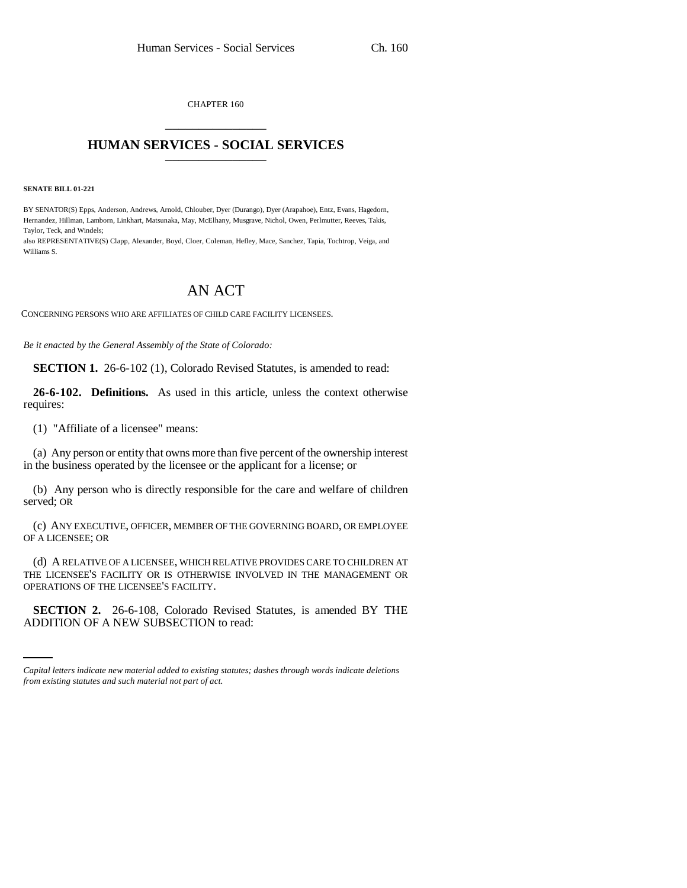CHAPTER 160 \_\_\_\_\_\_\_\_\_\_\_\_\_\_\_

## **HUMAN SERVICES - SOCIAL SERVICES** \_\_\_\_\_\_\_\_\_\_\_\_\_\_\_

**SENATE BILL 01-221**

BY SENATOR(S) Epps, Anderson, Andrews, Arnold, Chlouber, Dyer (Durango), Dyer (Arapahoe), Entz, Evans, Hagedorn, Hernandez, Hillman, Lamborn, Linkhart, Matsunaka, May, McElhany, Musgrave, Nichol, Owen, Perlmutter, Reeves, Takis, Taylor, Teck, and Windels;

also REPRESENTATIVE(S) Clapp, Alexander, Boyd, Cloer, Coleman, Hefley, Mace, Sanchez, Tapia, Tochtrop, Veiga, and Williams S.

## AN ACT

CONCERNING PERSONS WHO ARE AFFILIATES OF CHILD CARE FACILITY LICENSEES.

*Be it enacted by the General Assembly of the State of Colorado:*

**SECTION 1.** 26-6-102 (1), Colorado Revised Statutes, is amended to read:

**26-6-102. Definitions.** As used in this article, unless the context otherwise requires:

(1) "Affiliate of a licensee" means:

(a) Any person or entity that owns more than five percent of the ownership interest in the business operated by the licensee or the applicant for a license; or

(b) Any person who is directly responsible for the care and welfare of children served; OR

(c) ANY EXECUTIVE, OFFICER, MEMBER OF THE GOVERNING BOARD, OR EMPLOYEE OF A LICENSEE; OR

(d) A RELATIVE OF A LICENSEE, WHICH RELATIVE PROVIDES CARE TO CHILDREN AT THE LICENSEE'S FACILITY OR IS OTHERWISE INVOLVED IN THE MANAGEMENT OR OPERATIONS OF THE LICENSEE'S FACILITY.

 $\frac{1}{2}$ **SECTION 2.** 26-6-108, Colorado Revised Statutes, is amended BY THE ADDITION OF A NEW SUBSECTION to read:

*Capital letters indicate new material added to existing statutes; dashes through words indicate deletions from existing statutes and such material not part of act.*